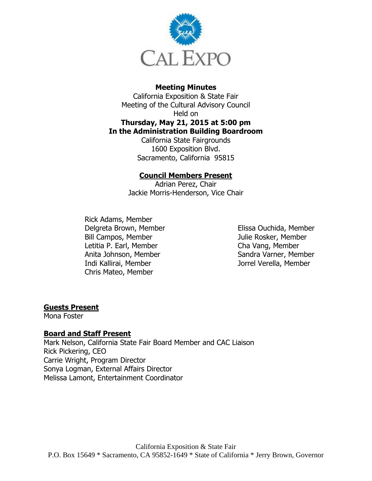

### **Meeting Minutes**

California Exposition & State Fair Meeting of the Cultural Advisory Council Held on **Thursday, May 21, 2015 at 5:00 pm In the Administration Building Boardroom**

California State Fairgrounds 1600 Exposition Blvd. Sacramento, California 95815

### **Council Members Present**

Adrian Perez, Chair Jackie Morris-Henderson, Vice Chair

Rick Adams, Member Delgreta Brown, Member Bill Campos, Member Letitia P. Earl, Member Anita Johnson, Member Indi Kallirai, Member Chris Mateo, Member

Elissa Ouchida, Member Julie Rosker, Member Cha Vang, Member Sandra Varner, Member Jorrel Verella, Member

### **Guests Present**

Mona Foster

### **Board and Staff Present**

Mark Nelson, California State Fair Board Member and CAC Liaison Rick Pickering, CEO Carrie Wright, Program Director Sonya Logman, External Affairs Director Melissa Lamont, Entertainment Coordinator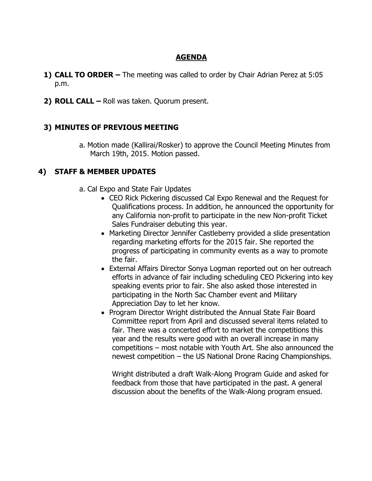## **AGENDA**

- **1) CALL TO ORDER –** The meeting was called to order by Chair Adrian Perez at 5:05 p.m.
- **2) ROLL CALL –** Roll was taken. Quorum present.

## **3) MINUTES OF PREVIOUS MEETING**

a. Motion made (Kallirai/Rosker) to approve the Council Meeting Minutes from March 19th, 2015. Motion passed.

### **4) STAFF & MEMBER UPDATES**

- a. Cal Expo and State Fair Updates
	- CEO Rick Pickering discussed Cal Expo Renewal and the Request for Qualifications process. In addition, he announced the opportunity for any California non-profit to participate in the new Non-profit Ticket Sales Fundraiser debuting this year.
	- Marketing Director Jennifer Castleberry provided a slide presentation regarding marketing efforts for the 2015 fair. She reported the progress of participating in community events as a way to promote the fair.
	- External Affairs Director Sonya Logman reported out on her outreach efforts in advance of fair including scheduling CEO Pickering into key speaking events prior to fair. She also asked those interested in participating in the North Sac Chamber event and Military Appreciation Day to let her know.
	- Program Director Wright distributed the Annual State Fair Board Committee report from April and discussed several items related to fair. There was a concerted effort to market the competitions this year and the results were good with an overall increase in many competitions – most notable with Youth Art. She also announced the newest competition – the US National Drone Racing Championships.

Wright distributed a draft Walk-Along Program Guide and asked for feedback from those that have participated in the past. A general discussion about the benefits of the Walk-Along program ensued.